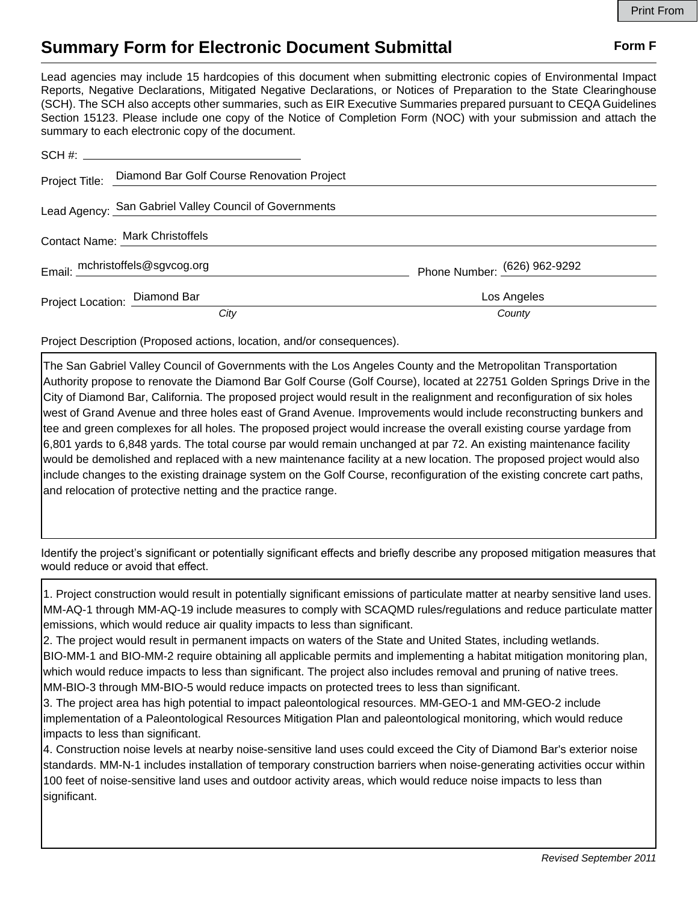## **Summary Form for Electronic Document Submittal Form F Form F**

Lead agencies may include 15 hardcopies of this document when submitting electronic copies of Environmental Impact Reports, Negative Declarations, Mitigated Negative Declarations, or Notices of Preparation to the State Clearinghouse (SCH). The SCH also accepts other summaries, such as EIR Executive Summaries prepared pursuant to CEQA Guidelines Section 15123. Please include one copy of the Notice of Completion Form (NOC) with your submission and attach the summary to each electronic copy of the document.

|                               | Project Title: Diamond Bar Golf Course Renovation Project |                              |
|-------------------------------|-----------------------------------------------------------|------------------------------|
|                               | Lead Agency: San Gabriel Valley Council of Governments    |                              |
|                               | Contact Name: Mark Christoffels                           |                              |
|                               | Email: mchristoffels@sgvcog.org                           | Phone Number: (626) 962-9292 |
| Project Location: Diamond Bar |                                                           | Los Angeles                  |
|                               | City                                                      | County                       |

Project Description (Proposed actions, location, and/or consequences).

The San Gabriel Valley Council of Governments with the Los Angeles County and the Metropolitan Transportation Authority propose to renovate the Diamond Bar Golf Course (Golf Course), located at 22751 Golden Springs Drive in the City of Diamond Bar, California. The proposed project would result in the realignment and reconfiguration of six holes west of Grand Avenue and three holes east of Grand Avenue. Improvements would include reconstructing bunkers and tee and green complexes for all holes. The proposed project would increase the overall existing course yardage from 6,801 yards to 6,848 yards. The total course par would remain unchanged at par 72. An existing maintenance facility would be demolished and replaced with a new maintenance facility at a new location. The proposed project would also include changes to the existing drainage system on the Golf Course, reconfiguration of the existing concrete cart paths, and relocation of protective netting and the practice range.

Identify the project's significant or potentially significant effects and briefly describe any proposed mitigation measures that would reduce or avoid that effect.

1. Project construction would result in potentially significant emissions of particulate matter at nearby sensitive land uses. MM-AQ-1 through MM-AQ-19 include measures to comply with SCAQMD rules/regulations and reduce particulate matter emissions, which would reduce air quality impacts to less than significant.

2. The project would result in permanent impacts on waters of the State and United States, including wetlands. BIO-MM-1 and BIO-MM-2 require obtaining all applicable permits and implementing a habitat mitigation monitoring plan, which would reduce impacts to less than significant. The project also includes removal and pruning of native trees. MM-BIO-3 through MM-BIO-5 would reduce impacts on protected trees to less than significant.

3. The project area has high potential to impact paleontological resources. MM-GEO-1 and MM-GEO-2 include implementation of a Paleontological Resources Mitigation Plan and paleontological monitoring, which would reduce impacts to less than significant.

4. Construction noise levels at nearby noise-sensitive land uses could exceed the City of Diamond Bar's exterior noise standards. MM-N-1 includes installation of temporary construction barriers when noise-generating activities occur within 100 feet of noise-sensitive land uses and outdoor activity areas, which would reduce noise impacts to less than significant.